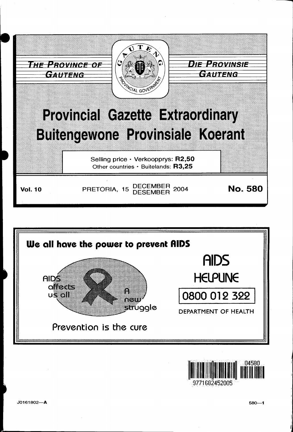



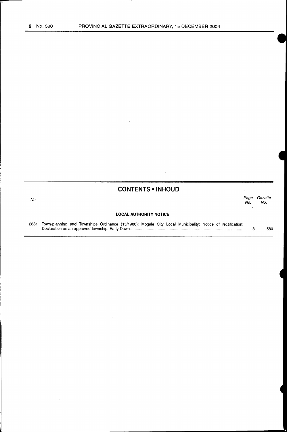# **CONTENTS • INHOUD**

| No. | Page<br>No.                   | Gazette<br>No. |
|-----|-------------------------------|----------------|
|     | <b>LOCAL AUTHORITY NOTICE</b> |                |

2881 Town-planning and Townships Ordinance (15/1986): Mogale City Local Municipality: Notice of rectification: Declaration as an approved township: Early Dawn ...................................................................................................... . 3 580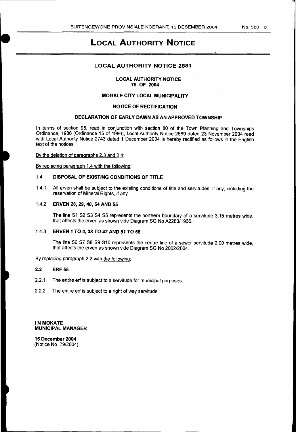# **LOCAL AUTHORITY NOTICE**

## **LOCAL AUTHORITY NOTICE 2881**

#### **LOCAL AUTHORITY NOTICE 79 OF 2004**

## **MOGALE CITY LOCAL MUNICIPALITY**

#### **NOTICE OF RECTIFICATION**

# **DECLARATION OF EARLY DAWN AS AN APPROVED TOWNSHIP**

In terms of section 95, read in conjunction with section 80 of the Town Planning and Townships Ordinance, 1986 (Ordinance 15 of 1986), Local Authority Notice 2669 dated 23 November 2004 read with Local Authority Notice 2743 dated 1 December 2004 is hereby rectified as follows in the English text of the notices:

By the deletion of paragraphs 2.3 and 2.4;

By replacing paragraph 1.4 with the following:

## 1.4 **DISPOSAL OF EXISTING CONDITIONS OF TITLE**

1.4.1 All erven shall be subject to the existing conditions of title and servitudes, if any, including the reservation of Mineral Rights, if any.

#### 1.4.2 **ERVEN 28, 29, 40, 54 AND 55**

The line S1 S2 S3 S4 S5 represents the northern boundary of a servitude 3,15 metres wide, that affects the erven as shown vide Diagram SG No A2283/1966.

#### 1.4.3 **ERVEN 1 TO 4, 38 TO 42 AND 51 TO 55**

The line S6 S7 SS S9 S10 represents the centre line of a sewer servitude 2,00 metres wide, that affects the erven as shown vide Diagram SG No 2062/2004.

# By replacing paragraph 2.2 with the following:

#### **2.2 ERF 55**

- 2.2.1 The entire erf is subject to a servitude for municipal purposes.
- 2.2.2 The entire erf is subject to a right of way servitude.

**IN MOKATE MUNICIPAL MANAGER** 

**15 December 2004**  (Notice No. 79/2004)